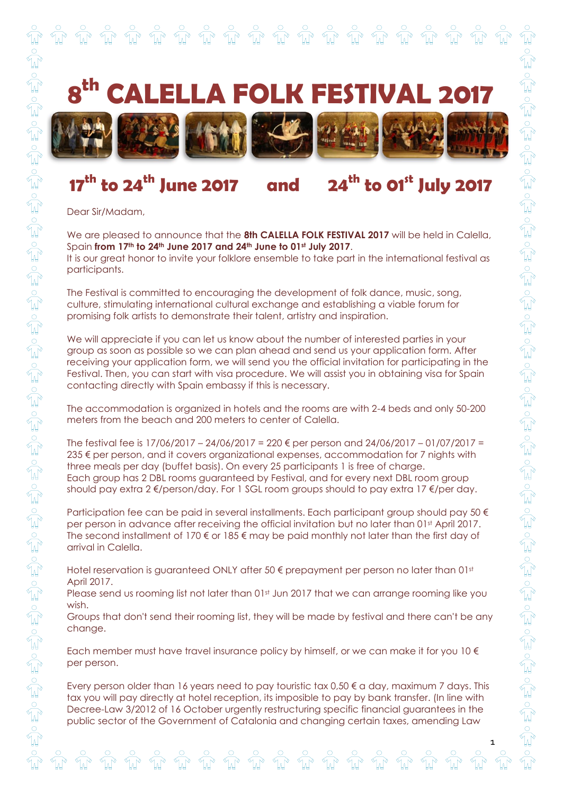

## **17th to 24th June 2017 and 24th to 01st July 2017**

Dear Sir/Madam,

We are pleased to announce that the **8th CALELLA FOLK FESTIVAL 2017** will be held in Calella, Spain **from 17th to 24th June 2017 and 24th June to 01st July 2017**. It is our great honor to invite your folklore ensemble to take part in the international festival as participants.

The Festival is committed to encouraging the development of folk dance, music, song, culture, stimulating international cultural exchange and establishing a viable forum for promising folk artists to demonstrate their talent, artistry and inspiration.

We will appreciate if you can let us know about the number of interested parties in your group as soon as possible so we can plan ahead and send us your application form. After receiving your application form, we will send you the official invitation for participating in the Festival. Then, you can start with visa procedure. We will assist you in obtaining visa for Spain contacting directly with Spain embassy if this is necessary.

The accommodation is organized in hotels and the rooms are with 2-4 beds and only 50-200 meters from the beach and 200 meters to center of Calella.

The festival fee is  $17/06/2017 - 24/06/2017 = 220 \text{ E}$  per person and  $24/06/2017 - 01/07/2017 =$ 235 € per person, and it covers organizational expenses, accommodation for 7 nights with three meals per day (buffet basis). On every 25 participants 1 is free of charge. Each group has 2 DBL rooms guaranteed by Festival, and for every next DBL room group should pay extra 2 €/person/day. For 1 SGL room groups should to pay extra 17 €/per day.

Participation fee can be paid in several installments. Each participant group should pay 50  $\epsilon$ per person in advance after receiving the official invitation but no later than 01st April 2017. The second installment of 170  $\epsilon$  or 185  $\epsilon$  may be paid monthly not later than the first day of arrival in Calella.

Hotel reservation is guaranteed ONLY after 50 € prepayment per person no later than 01st April 2017.

Please send us rooming list not later than 01st Jun 2017 that we can arrange rooming like you wish.

Groups that don't send their rooming list, they will be made by festival and there can't be any change.

Each member must have travel insurance policy by himself, or we can make it for you  $10 \in$ per person.

Every person older than 16 years need to pay touristic tax 0,50  $\epsilon$  a day, maximum 7 days. This tax you will pay directly at hotel reception, its imposible to pay by bank transfer. (In line with Decree-Law 3/2012 of 16 October urgently restructuring specific financial guarantees in the public sector of the Government of Catalonia and changing certain taxes, amending Law

1